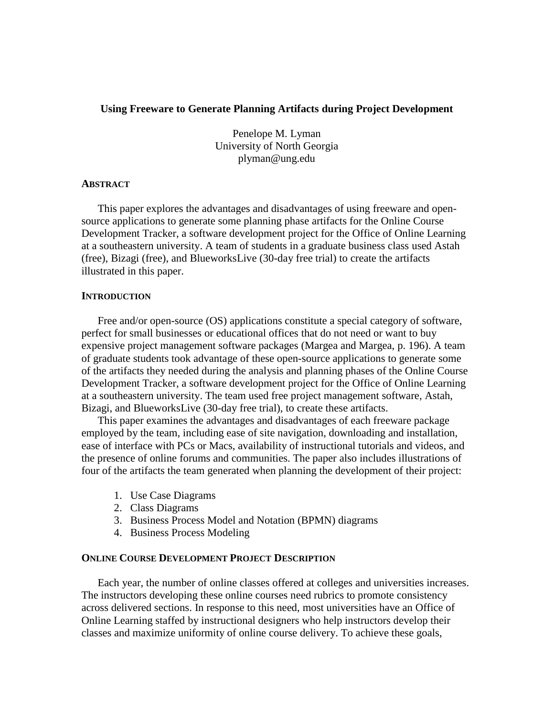# **Using Freeware to Generate Planning Artifacts during Project Development**

Penelope M. Lyman University of North Georgia plyman@ung.edu

# **ABSTRACT**

This paper explores the advantages and disadvantages of using freeware and opensource applications to generate some planning phase artifacts for the Online Course Development Tracker, a software development project for the Office of Online Learning at a southeastern university. A team of students in a graduate business class used Astah (free), Bizagi (free), and BlueworksLive (30-day free trial) to create the artifacts illustrated in this paper.

# **INTRODUCTION**

Free and/or open-source (OS) applications constitute a special category of software, perfect for small businesses or educational offices that do not need or want to buy expensive project management software packages (Margea and Margea, p. 196). A team of graduate students took advantage of these open-source applications to generate some of the artifacts they needed during the analysis and planning phases of the Online Course Development Tracker, a software development project for the Office of Online Learning at a southeastern university. The team used free project management software, Astah, Bizagi, and BlueworksLive (30-day free trial), to create these artifacts.

This paper examines the advantages and disadvantages of each freeware package employed by the team, including ease of site navigation, downloading and installation, ease of interface with PCs or Macs, availability of instructional tutorials and videos, and the presence of online forums and communities. The paper also includes illustrations of four of the artifacts the team generated when planning the development of their project:

- 1. Use Case Diagrams
- 2. Class Diagrams
- 3. Business Process Model and Notation (BPMN) diagrams
- 4. Business Process Modeling

## **ONLINE COURSE DEVELOPMENT PROJECT DESCRIPTION**

Each year, the number of online classes offered at colleges and universities increases. The instructors developing these online courses need rubrics to promote consistency across delivered sections. In response to this need, most universities have an Office of Online Learning staffed by instructional designers who help instructors develop their classes and maximize uniformity of online course delivery. To achieve these goals,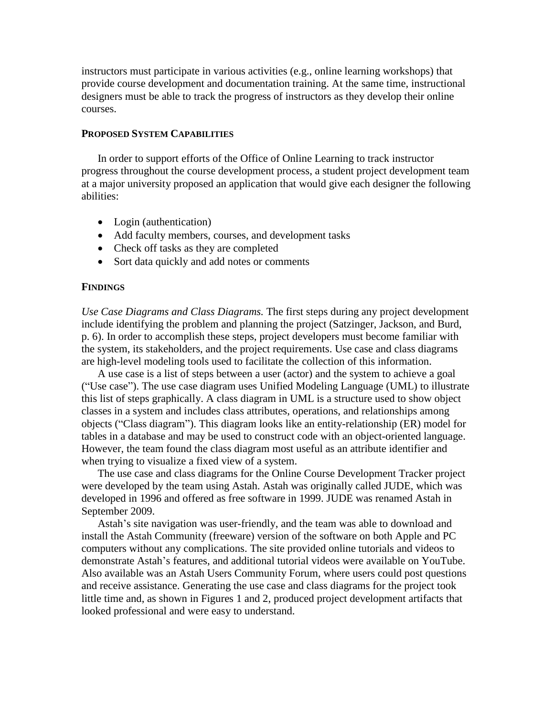instructors must participate in various activities (e.g., online learning workshops) that provide course development and documentation training. At the same time, instructional designers must be able to track the progress of instructors as they develop their online courses.

#### **PROPOSED SYSTEM CAPABILITIES**

In order to support efforts of the Office of Online Learning to track instructor progress throughout the course development process, a student project development team at a major university proposed an application that would give each designer the following abilities:

- Login (authentication)
- Add faculty members, courses, and development tasks
- Check off tasks as they are completed
- Sort data quickly and add notes or comments

## **FINDINGS**

*Use Case Diagrams and Class Diagrams.* The first steps during any project development include identifying the problem and planning the project (Satzinger, Jackson, and Burd, p. 6). In order to accomplish these steps, project developers must become familiar with the system, its stakeholders, and the project requirements. Use case and class diagrams are high-level modeling tools used to facilitate the collection of this information.

A use case is a list of steps between a user (actor) and the system to achieve a goal ("Use case"). The use case diagram uses Unified Modeling Language (UML) to illustrate this list of steps graphically. A class diagram in UML is a structure used to show object classes in a system and includes class attributes, operations, and relationships among objects ("Class diagram"). This diagram looks like an entity-relationship (ER) model for tables in a database and may be used to construct code with an object-oriented language. However, the team found the class diagram most useful as an attribute identifier and when trying to visualize a fixed view of a system.

The use case and class diagrams for the Online Course Development Tracker project were developed by the team using Astah. Astah was originally called JUDE, which was developed in 1996 and offered as free software in 1999. JUDE was renamed Astah in September 2009.

Astah's site navigation was user-friendly, and the team was able to download and install the Astah Community (freeware) version of the software on both Apple and PC computers without any complications. The site provided online tutorials and videos to demonstrate Astah's features, and additional tutorial videos were available on YouTube. Also available was an Astah Users Community Forum, where users could post questions and receive assistance. Generating the use case and class diagrams for the project took little time and, as shown in Figures 1 and 2, produced project development artifacts that looked professional and were easy to understand.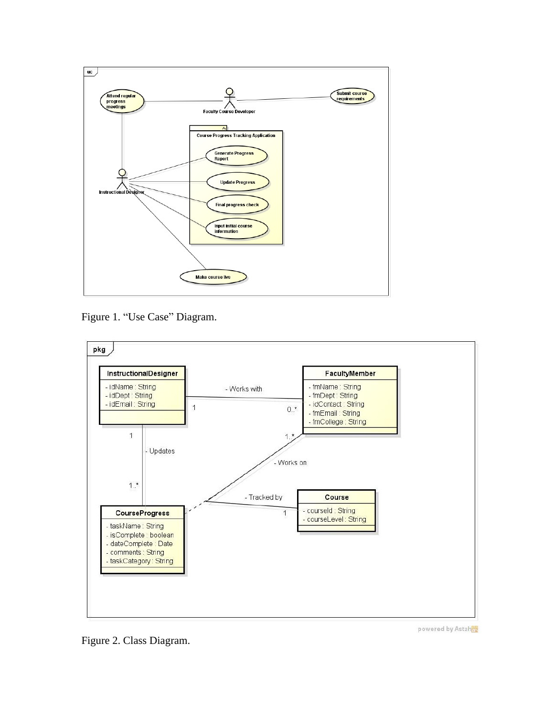

Figure 1. "Use Case" Diagram.



Figure 2. Class Diagram.

powered by Astah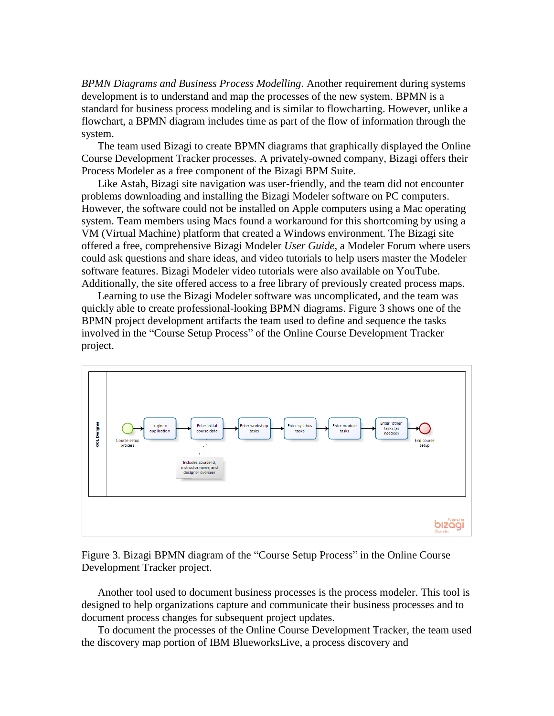*BPMN Diagrams and Business Process Modelling*. Another requirement during systems development is to understand and map the processes of the new system. BPMN is a standard for business process modeling and is similar to flowcharting. However, unlike a flowchart, a BPMN diagram includes time as part of the flow of information through the system.

The team used Bizagi to create BPMN diagrams that graphically displayed the Online Course Development Tracker processes. A privately-owned company, Bizagi offers their Process Modeler as a free component of the Bizagi BPM Suite.

Like Astah, Bizagi site navigation was user-friendly, and the team did not encounter problems downloading and installing the Bizagi Modeler software on PC computers. However, the software could not be installed on Apple computers using a Mac operating system. Team members using Macs found a workaround for this shortcoming by using a VM (Virtual Machine) platform that created a Windows environment. The Bizagi site offered a free, comprehensive Bizagi Modeler *User Guide*, a Modeler Forum where users could ask questions and share ideas, and video tutorials to help users master the Modeler software features. Bizagi Modeler video tutorials were also available on YouTube. Additionally, the site offered access to a free library of previously created process maps.

Learning to use the Bizagi Modeler software was uncomplicated, and the team was quickly able to create professional-looking BPMN diagrams. Figure 3 shows one of the BPMN project development artifacts the team used to define and sequence the tasks involved in the "Course Setup Process" of the Online Course Development Tracker project.



Figure 3. Bizagi BPMN diagram of the "Course Setup Process" in the Online Course Development Tracker project.

Another tool used to document business processes is the process modeler. This tool is designed to help organizations capture and communicate their business processes and to document process changes for subsequent project updates.

To document the processes of the Online Course Development Tracker, the team used the discovery map portion of IBM BlueworksLive, a process discovery and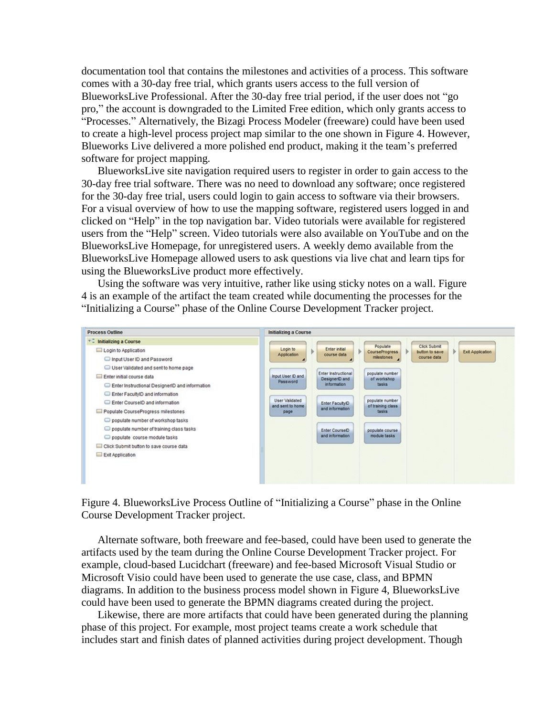documentation tool that contains the milestones and activities of a process. This software comes with a 30-day free trial, which grants users access to the full version of BlueworksLive Professional. After the 30-day free trial period, if the user does not "go pro," the account is downgraded to the Limited Free edition, which only grants access to "Processes." Alternatively, the Bizagi Process Modeler (freeware) could have been used to create a high-level process project map similar to the one shown in Figure 4. However, Blueworks Live delivered a more polished end product, making it the team's preferred software for project mapping.

BlueworksLive site navigation required users to register in order to gain access to the 30-day free trial software. There was no need to download any software; once registered for the 30-day free trial, users could login to gain access to software via their browsers. For a visual overview of how to use the mapping software, registered users logged in and clicked on "Help" in the top navigation bar. Video tutorials were available for registered users from the "Help" screen. Video tutorials were also available on YouTube and on the BlueworksLive Homepage, for unregistered users. A weekly demo available from the BlueworksLive Homepage allowed users to ask questions via live chat and learn tips for using the BlueworksLive product more effectively.

Using the software was very intuitive, rather like using sticky notes on a wall. Figure 4 is an example of the artifact the team created while documenting the processes for the "Initializing a Course" phase of the Online Course Development Tracker project.



Figure 4. BlueworksLive Process Outline of "Initializing a Course" phase in the Online Course Development Tracker project.

Alternate software, both freeware and fee-based, could have been used to generate the artifacts used by the team during the Online Course Development Tracker project. For example, cloud-based Lucidchart (freeware) and fee-based Microsoft Visual Studio or Microsoft Visio could have been used to generate the use case, class, and BPMN diagrams. In addition to the business process model shown in Figure 4, BlueworksLive could have been used to generate the BPMN diagrams created during the project.

Likewise, there are more artifacts that could have been generated during the planning phase of this project. For example, most project teams create a work schedule that includes start and finish dates of planned activities during project development. Though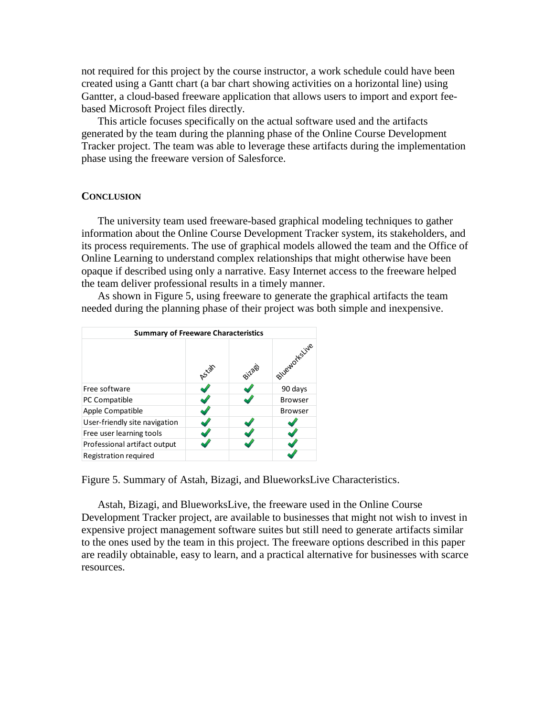not required for this project by the course instructor, a work schedule could have been created using a Gantt chart (a bar chart showing activities on a horizontal line) using Gantter, a cloud-based freeware application that allows users to import and export feebased Microsoft Project files directly.

This article focuses specifically on the actual software used and the artifacts generated by the team during the planning phase of the Online Course Development Tracker project. The team was able to leverage these artifacts during the implementation phase using the freeware version of Salesforce.

## **CONCLUSION**

The university team used freeware-based graphical modeling techniques to gather information about the Online Course Development Tracker system, its stakeholders, and its process requirements. The use of graphical models allowed the team and the Office of Online Learning to understand complex relationships that might otherwise have been opaque if described using only a narrative. Easy Internet access to the freeware helped the team deliver professional results in a timely manner.

As shown in Figure 5, using freeware to generate the graphical artifacts the team needed during the planning phase of their project was both simple and inexpensive.



Figure 5. Summary of Astah, Bizagi, and BlueworksLive Characteristics.

Astah, Bizagi, and BlueworksLive, the freeware used in the Online Course Development Tracker project, are available to businesses that might not wish to invest in expensive project management software suites but still need to generate artifacts similar to the ones used by the team in this project. The freeware options described in this paper are readily obtainable, easy to learn, and a practical alternative for businesses with scarce resources.